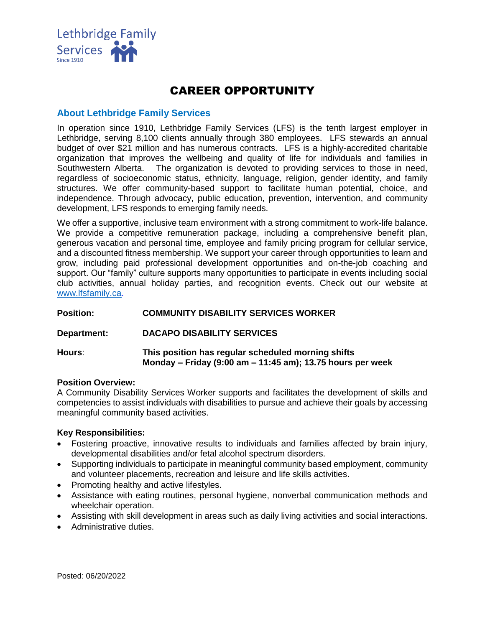

# CAREER OPPORTUNITY

## **About Lethbridge Family Services**

In operation since 1910, Lethbridge Family Services (LFS) is the tenth largest employer in Lethbridge, serving 8,100 clients annually through 380 employees. LFS stewards an annual budget of over \$21 million and has numerous contracts. LFS is a highly-accredited charitable organization that improves the wellbeing and quality of life for individuals and families in Southwestern Alberta. The organization is devoted to providing services to those in need, regardless of socioeconomic status, ethnicity, language, religion, gender identity, and family structures. We offer community-based support to facilitate human potential, choice, and independence. Through advocacy, public education, prevention, intervention, and community development, LFS responds to emerging family needs.

We offer a supportive, inclusive team environment with a strong commitment to work-life balance. We provide a competitive remuneration package, including a comprehensive benefit plan, generous vacation and personal time, employee and family pricing program for cellular service, and a discounted fitness membership. We support your career through opportunities to learn and grow, including paid professional development opportunities and on-the-job coaching and support. Our "family" culture supports many opportunities to participate in events including social club activities, annual holiday parties, and recognition events. Check out our website at [www.lfsfamily.ca.](http://www.lfsfamily.ca/)

| <b>Position:</b> | <b>COMMUNITY DISABILITY SERVICES WORKER</b>                                                                      |
|------------------|------------------------------------------------------------------------------------------------------------------|
| Department:      | <b>DACAPO DISABILITY SERVICES</b>                                                                                |
| Hours:           | This position has regular scheduled morning shifts<br>Monday – Friday (9:00 am – 11:45 am); 13.75 hours per week |

#### **Position Overview:**

A Community Disability Services Worker supports and facilitates the development of skills and competencies to assist individuals with disabilities to pursue and achieve their goals by accessing meaningful community based activities.

#### **Key Responsibilities:**

- Fostering proactive, innovative results to individuals and families affected by brain injury, developmental disabilities and/or fetal alcohol spectrum disorders.
- Supporting individuals to participate in meaningful community based employment, community and volunteer placements, recreation and leisure and life skills activities.
- Promoting healthy and active lifestyles.
- Assistance with eating routines, personal hygiene, nonverbal communication methods and wheelchair operation.
- Assisting with skill development in areas such as daily living activities and social interactions.
- Administrative duties.